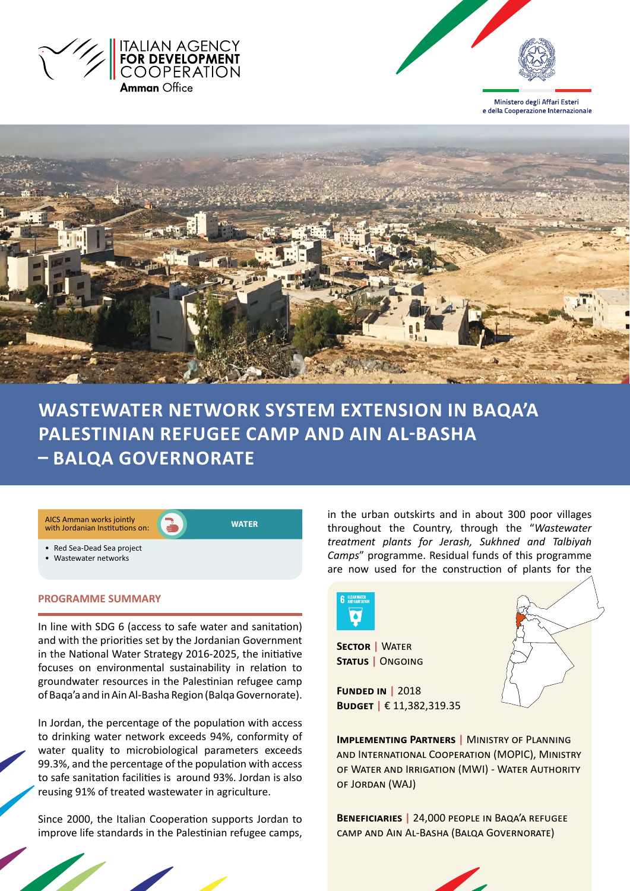



Ministero degli Affari Esteri e della Cooperazione Internazionale



**WASTEWATER NETWORK system extension IN BAQA'A PALESTINIAN REFUGEE camp AND AIN AL-BASHa – BAlqa governorate**



## **PROGRAMME SUMMARY**

In line with SDG 6 (access to safe water and sanitation) and with the priorities set by the Jordanian Government in the National Water Strategy 2016-2025, the initiative focuses on environmental sustainability in relation to groundwater resources in the Palestinian refugee camp of Baqa'a and in Ain Al-Basha Region (Balqa Governorate).

In Jordan, the percentage of the population with access to drinking water network exceeds 94%, conformity of water quality to microbiological parameters exceeds 99.3%, and the percentage of the population with access to safe sanitation facilities is around 93%. Jordan is also reusing 91% of treated wastewater in agriculture.

Since 2000, the Italian Cooperation supports Jordan to improve life standards in the Palestinian refugee camps,

in the urban outskirts and in about 300 poor villages throughout the Country, through the "*Wastewater treatment plants for Jerash, Sukhned and Talbiyah Camps*" programme. Residual funds of this programme are now used for the construction of plants for the



**Sector |** Water **Status |** Ongoing

**Funded in |** 2018 **Budget |** € 11,382,319.35

**Implementing Partners |** Ministry of Planning and International Cooperation (MOPIC), Ministry of Water and Irrigation (MWI) - Water Authority of Jordan (WAJ)

**Beneficiaries |** 24,000 people in Baqa'a refugee camp and Ain Al-Basha (Balqa Governorate)